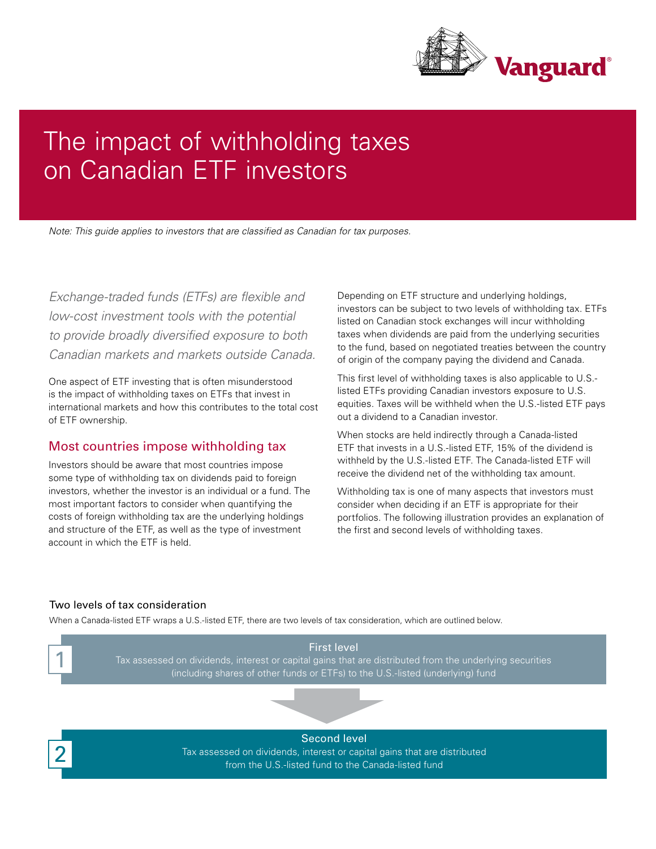

# The impact of withholding taxes on Canadian ETF investors

*Note: This guide applies to investors that are classified as Canadian for tax purposes.*

*Exchange-traded funds (ETFs) are flexible and low-cost investment tools with the potential to provide broadly diversified exposure to both Canadian markets and markets outside Canada.* 

One aspect of ETF investing that is often misunderstood is the impact of withholding taxes on ETFs that invest in international markets and how this contributes to the total cost of ETF ownership.

## Most countries impose withholding tax

Investors should be aware that most countries impose some type of withholding tax on dividends paid to foreign investors, whether the investor is an individual or a fund. The most important factors to consider when quantifying the costs of foreign withholding tax are the underlying holdings and structure of the ETF, as well as the type of investment account in which the ETF is held.

Depending on ETF structure and underlying holdings, investors can be subject to two levels of withholding tax. ETFs listed on Canadian stock exchanges will incur withholding taxes when dividends are paid from the underlying securities to the fund, based on negotiated treaties between the country of origin of the company paying the dividend and Canada.

This first level of withholding taxes is also applicable to U.S. listed ETFs providing Canadian investors exposure to U.S. equities. Taxes will be withheld when the U.S.-listed ETF pays out a dividend to a Canadian investor.

When stocks are held indirectly through a Canada-listed ETF that invests in a U.S.-listed ETF, 15% of the dividend is withheld by the U.S.-listed ETF. The Canada-listed ETF will receive the dividend net of the withholding tax amount.

Withholding tax is one of many aspects that investors must consider when deciding if an ETF is appropriate for their portfolios. The following illustration provides an explanation of the first and second levels of withholding taxes.

## Two levels of tax consideration

When a Canada-listed ETF wraps a U.S.-listed ETF, there are two levels of tax consideration, which are outlined below.

First level Tax assessed on dividends, interest or capital gains that are distributed from the underlying securities (including shares of other funds or ETFs) to the U.S.-listed (underlying) fund 1

2

Second level Tax assessed on dividends, interest or capital gains that are distributed from the U.S.-listed fund to the Canada-listed fund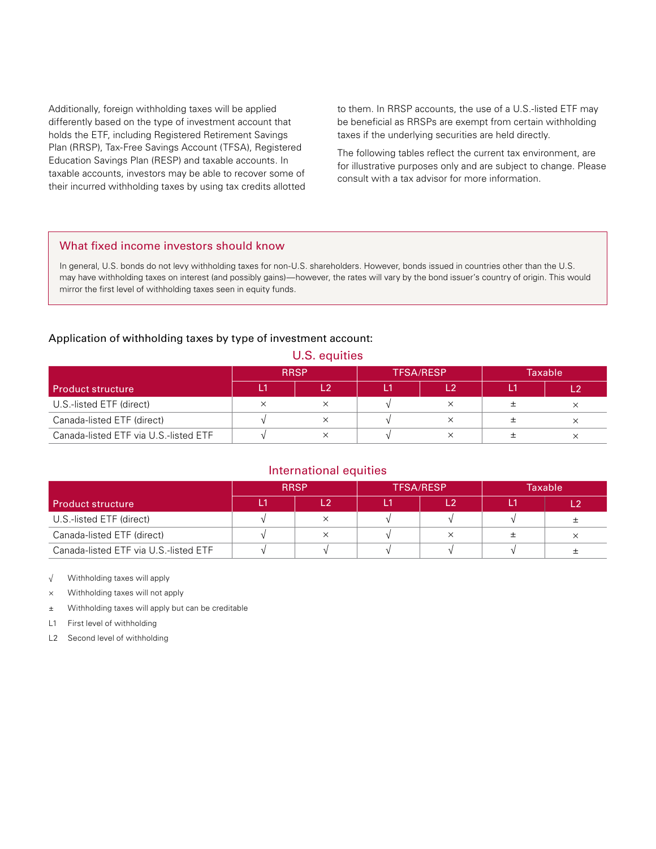Additionally, foreign withholding taxes will be applied differently based on the type of investment account that holds the ETF, including Registered Retirement Savings Plan (RRSP), Tax-Free Savings Account (TFSA), Registered Education Savings Plan (RESP) and taxable accounts. In taxable accounts, investors may be able to recover some of their incurred withholding taxes by using tax credits allotted to them. In RRSP accounts, the use of a U.S.-listed ETF may be beneficial as RRSPs are exempt from certain withholding taxes if the underlying securities are held directly.

The following tables reflect the current tax environment, are for illustrative purposes only and are subject to change. Please consult with a tax advisor for more information.

#### What fixed income investors should know

In general, U.S. bonds do not levy withholding taxes for non-U.S. shareholders. However, bonds issued in countries other than the U.S. may have withholding taxes on interest (and possibly gains)—however, the rates will vary by the bond issuer's country of origin. This would mirror the first level of withholding taxes seen in equity funds.

#### Application of withholding taxes by type of investment account:

| U.S. equities                         |             |     |                  |          |                |          |  |  |  |  |
|---------------------------------------|-------------|-----|------------------|----------|----------------|----------|--|--|--|--|
|                                       | <b>RRSP</b> |     | <b>TFSA/RESP</b> |          | <b>Taxable</b> |          |  |  |  |  |
| Product structure                     | L1          | ר ו | Ľ1               | L2       | L1.            |          |  |  |  |  |
| U.S.-listed ETF (direct)              | ×           | ×   |                  |          |                | $\times$ |  |  |  |  |
| Canada-listed ETF (direct)            |             | ×   |                  | ×        | 士              | $\times$ |  |  |  |  |
| Canada-listed ETF via U.S.-listed ETF |             | ×   |                  | $\times$ |                | ×        |  |  |  |  |

### International equities

|                                       | <b>RRSP</b> |  | <b>TFSA/RESP</b> |    | Taxable |          |
|---------------------------------------|-------------|--|------------------|----|---------|----------|
| <b>Product structure</b>              |             |  |                  | ່າ |         |          |
| U.S.-listed ETF (direct)              |             |  |                  |    |         |          |
| Canada-listed ETF (direct)            |             |  |                  |    |         | $\times$ |
| Canada-listed ETF via U.S.-listed ETF |             |  |                  |    |         |          |

√ Withholding taxes will apply

× Withholding taxes will not apply

± Withholding taxes will apply but can be creditable

L1 First level of withholding

L2 Second level of withholding